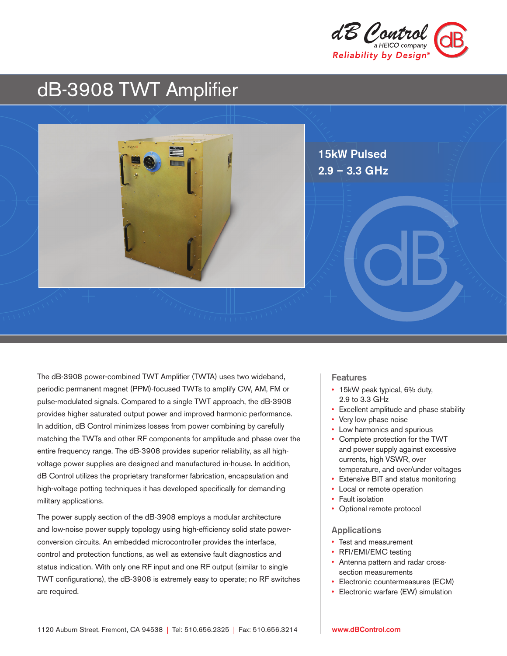

# dB-3908 TWT Amplifier



The dB-3908 power-combined TWT Amplifier (TWTA) uses two wideband, periodic permanent magnet (PPM)-focused TWTs to amplify CW, AM, FM or pulse-modulated signals. Compared to a single TWT approach, the dB-3908 provides higher saturated output power and improved harmonic performance. In addition, dB Control minimizes losses from power combining by carefully matching the TWTs and other RF components for amplitude and phase over the entire frequency range. The dB-3908 provides superior reliability, as all highvoltage power supplies are designed and manufactured in-house. In addition, dB Control utilizes the proprietary transformer fabrication, encapsulation and high-voltage potting techniques it has developed specifically for demanding military applications.

The power supply section of the dB-3908 employs a modular architecture and low-noise power supply topology using high-efficiency solid state powerconversion circuits. An embedded microcontroller provides the interface, control and protection functions, as well as extensive fault diagnostics and status indication. With only one RF input and one RF output (similar to single TWT configurations), the dB-3908 is extremely easy to operate; no RF switches are required.

#### **Features**

- 15kW peak typical, 6% duty, 2.9 to 3.3 GHz
- Excellent amplitude and phase stability
- Very low phase noise
- Low harmonics and spurious
- Complete protection for the TWT and power supply against excessive currents, high VSWR, over temperature, and over/under voltages
- Extensive BIT and status monitoring
- Local or remote operation
- Fault isolation
- Optional remote protocol

#### Applications

- Test and measurement
- RFI/EMI/EMC testing
- Antenna pattern and radar crosssection measurements
- Electronic countermeasures (ECM)
- Electronic warfare (EW) simulation